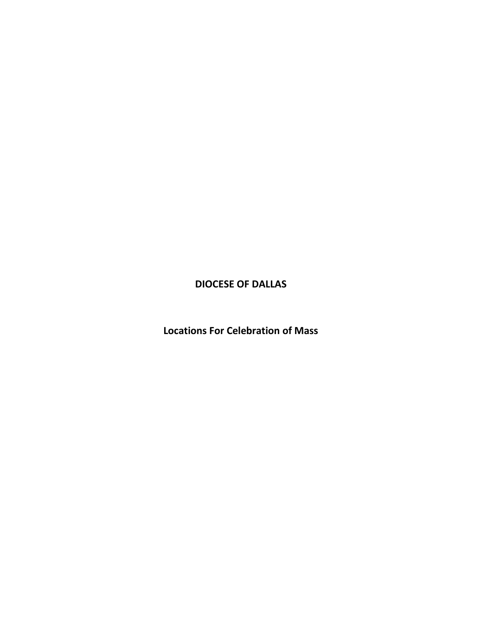## **DIOCESE OF DALLAS**

**Locations For Celebration of Mass**